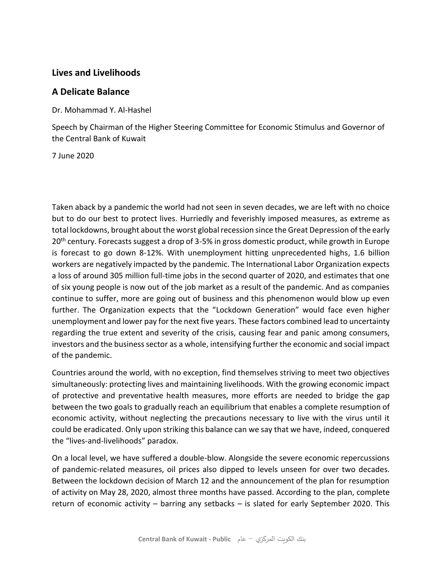## **Lives and Livelihoods**

### **A Delicate Balance**

Dr. Mohammad Y. Al-Hashel

Speech by Chairman of the Higher Steering Committee for Economic Stimulus and Governor of the Central Bank of Kuwait

7 June 2020

Taken aback by a pandemic the world had not seen in seven decades, we are left with no choice but to do our best to protect lives. Hurriedly and feverishly imposed measures, as extreme as total lockdowns, brought about the worst global recession since the Great Depression of the early 20<sup>th</sup> century. Forecasts suggest a drop of 3-5% in gross domestic product, while growth in Europe is forecast to go down 8-12%. With unemployment hitting unprecedented highs, 1.6 billion workers are negatively impacted by the pandemic. The International Labor Organization expects a loss of around 305 million full-time jobs in the second quarter of 2020, and estimates that one of six young people is now out of the job market as a result of the pandemic. And as companies continue to suffer, more are going out of business and this phenomenon would blow up even further. The Organization expects that the "Lockdown Generation" would face even higher unemployment and lower pay for the next five years. These factors combined lead to uncertainty regarding the true extent and severity of the crisis, causing fear and panic among consumers, investors and the business sector as a whole, intensifying further the economic and social impact of the pandemic.

Countries around the world, with no exception, find themselves striving to meet two objectives simultaneously: protecting lives and maintaining livelihoods. With the growing economic impact of protective and preventative health measures, more efforts are needed to bridge the gap between the two goals to gradually reach an equilibrium that enables a complete resumption of economic activity, without neglecting the precautions necessary to live with the virus until it could be eradicated. Only upon striking this balance can we say that we have, indeed, conquered the "lives-and-livelihoods" paradox.

On a local level, we have suffered a double-blow. Alongside the severe economic repercussions of pandemic-related measures, oil prices also dipped to levels unseen for over two decades. Between the lockdown decision of March 12 and the announcement of the plan for resumption of activity on May 28, 2020, almost three months have passed. According to the plan, complete return of economic activity – barring any setbacks – is slated for early September 2020. This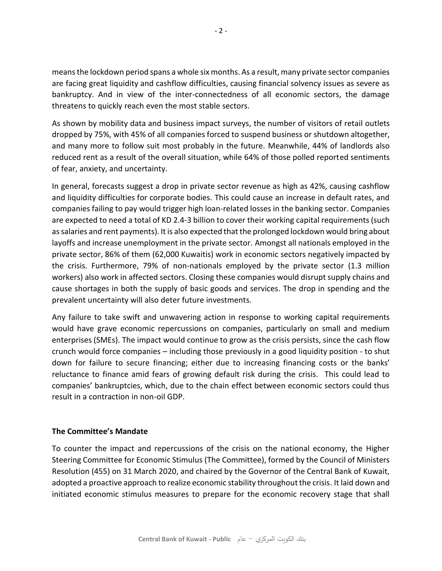means the lockdown period spans a whole six months. As a result, many private sector companies are facing great liquidity and cashflow difficulties, causing financial solvency issues as severe as bankruptcy. And in view of the inter-connectedness of all economic sectors, the damage threatens to quickly reach even the most stable sectors.

As shown by mobility data and business impact surveys, the number of visitors of retail outlets dropped by 75%, with 45% of all companies forced to suspend business or shutdown altogether, and many more to follow suit most probably in the future. Meanwhile, 44% of landlords also reduced rent as a result of the overall situation, while 64% of those polled reported sentiments of fear, anxiety, and uncertainty.

In general, forecasts suggest a drop in private sector revenue as high as 42%, causing cashflow and liquidity difficulties for corporate bodies. This could cause an increase in default rates, and companies failing to pay would trigger high loan-related losses in the banking sector. Companies are expected to need a total of KD 2.4-3 billion to cover their working capital requirements (such as salaries and rent payments). It is also expected that the prolonged lockdown would bring about layoffs and increase unemployment in the private sector. Amongst all nationals employed in the private sector, 86% of them (62,000 Kuwaitis) work in economic sectors negatively impacted by the crisis. Furthermore, 79% of non-nationals employed by the private sector (1.3 million workers) also work in affected sectors. Closing these companies would disrupt supply chains and cause shortages in both the supply of basic goods and services. The drop in spending and the prevalent uncertainty will also deter future investments.

Any failure to take swift and unwavering action in response to working capital requirements would have grave economic repercussions on companies, particularly on small and medium enterprises (SMEs). The impact would continue to grow as the crisis persists, since the cash flow crunch would force companies – including those previously in a good liquidity position - to shut down for failure to secure financing; either due to increasing financing costs or the banks' reluctance to finance amid fears of growing default risk during the crisis. This could lead to companies' bankruptcies, which, due to the chain effect between economic sectors could thus result in a contraction in non-oil GDP.

#### **The Committee's Mandate**

To counter the impact and repercussions of the crisis on the national economy, the Higher Steering Committee for Economic Stimulus (The Committee), formed by the Council of Ministers Resolution (455) on 31 March 2020, and chaired by the Governor of the Central Bank of Kuwait, adopted a proactive approach to realize economic stability throughout the crisis. It laid down and initiated economic stimulus measures to prepare for the economic recovery stage that shall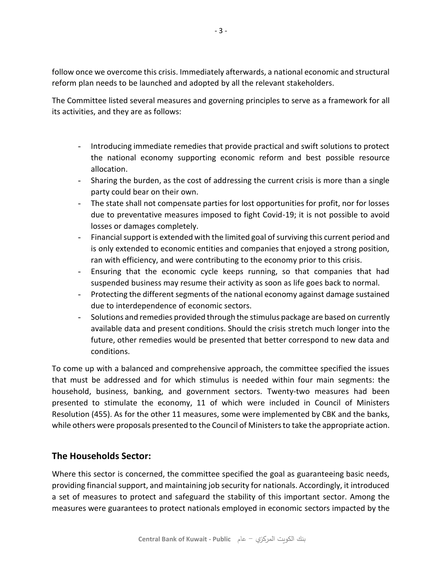follow once we overcome this crisis. Immediately afterwards, a national economic and structural reform plan needs to be launched and adopted by all the relevant stakeholders.

The Committee listed several measures and governing principles to serve as a framework for all its activities, and they are as follows:

- Introducing immediate remedies that provide practical and swift solutions to protect the national economy supporting economic reform and best possible resource allocation.
- Sharing the burden, as the cost of addressing the current crisis is more than a single party could bear on their own.
- The state shall not compensate parties for lost opportunities for profit, nor for losses due to preventative measures imposed to fight Covid-19; it is not possible to avoid losses or damages completely.
- Financial support is extended with the limited goal of surviving this current period and is only extended to economic entities and companies that enjoyed a strong position, ran with efficiency, and were contributing to the economy prior to this crisis.
- Ensuring that the economic cycle keeps running, so that companies that had suspended business may resume their activity as soon as life goes back to normal.
- Protecting the different segments of the national economy against damage sustained due to interdependence of economic sectors.
- Solutions and remedies provided through the stimulus package are based on currently available data and present conditions. Should the crisis stretch much longer into the future, other remedies would be presented that better correspond to new data and conditions.

To come up with a balanced and comprehensive approach, the committee specified the issues that must be addressed and for which stimulus is needed within four main segments: the household, business, banking, and government sectors. Twenty-two measures had been presented to stimulate the economy, 11 of which were included in Council of Ministers Resolution (455). As for the other 11 measures, some were implemented by CBK and the banks, while others were proposals presented to the Council of Ministers to take the appropriate action.

# **The Households Sector:**

Where this sector is concerned, the committee specified the goal as guaranteeing basic needs, providing financial support, and maintaining job security for nationals. Accordingly, it introduced a set of measures to protect and safeguard the stability of this important sector. Among the measures were guarantees to protect nationals employed in economic sectors impacted by the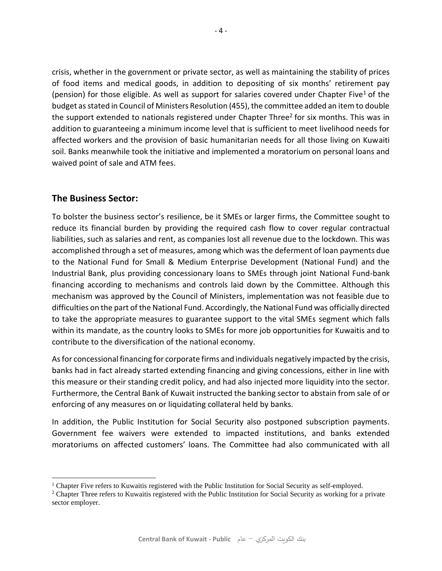crisis, whether in the government or private sector, as well as maintaining the stability of prices of food items and medical goods, in addition to depositing of six months' retirement pay (pension) for those eligible. As well as support for salaries covered under Chapter Five<sup>1</sup> of the budget as stated in Council of Ministers Resolution (455), the committee added an item to double the support extended to nationals registered under Chapter Three<sup>2</sup> for six months. This was in addition to guaranteeing a minimum income level that is sufficient to meet livelihood needs for affected workers and the provision of basic humanitarian needs for all those living on Kuwaiti soil. Banks meanwhile took the initiative and implemented a moratorium on personal loans and waived point of sale and ATM fees.

### **The Business Sector:**

To bolster the business sector's resilience, be it SMEs or larger firms, the Committee sought to reduce its financial burden by providing the required cash flow to cover regular contractual liabilities, such as salaries and rent, as companies lost all revenue due to the lockdown. This was accomplished through a set of measures, among which was the deferment of loan payments due to the National Fund for Small & Medium Enterprise Development (National Fund) and the Industrial Bank, plus providing concessionary loans to SMEs through joint National Fund-bank financing according to mechanisms and controls laid down by the Committee. Although this mechanism was approved by the Council of Ministers, implementation was not feasible due to difficulties on the part of the National Fund. Accordingly, the National Fund was officially directed to take the appropriate measures to guarantee support to the vital SMEs segment which falls within its mandate, as the country looks to SMEs for more job opportunities for Kuwaitis and to contribute to the diversification of the national economy.

As for concessional financing for corporate firms and individuals negatively impacted by the crisis, banks had in fact already started extending financing and giving concessions, either in line with this measure or their standing credit policy, and had also injected more liquidity into the sector. Furthermore, the Central Bank of Kuwait instructed the banking sector to abstain from sale of or enforcing of any measures on or liquidating collateral held by banks.

In addition, the Public Institution for Social Security also postponed subscription payments. Government fee waivers were extended to impacted institutions, and banks extended moratoriums on affected customers' loans. The Committee had also communicated with all

 $\overline{a}$ <sup>1</sup> Chapter Five refers to Kuwaitis registered with the Public Institution for Social Security as self-employed.

<sup>&</sup>lt;sup>2</sup> Chapter Three refers to Kuwaitis registered with the Public Institution for Social Security as working for a private sector employer.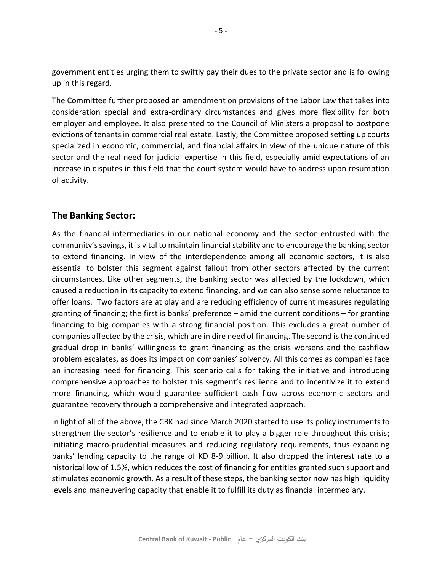government entities urging them to swiftly pay their dues to the private sector and is following up in this regard.

The Committee further proposed an amendment on provisions of the Labor Law that takes into consideration special and extra-ordinary circumstances and gives more flexibility for both employer and employee. It also presented to the Council of Ministers a proposal to postpone evictions of tenants in commercial real estate. Lastly, the Committee proposed setting up courts specialized in economic, commercial, and financial affairs in view of the unique nature of this sector and the real need for judicial expertise in this field, especially amid expectations of an increase in disputes in this field that the court system would have to address upon resumption of activity.

## **The Banking Sector:**

As the financial intermediaries in our national economy and the sector entrusted with the community's savings, it is vital to maintain financial stability and to encourage the banking sector to extend financing. In view of the interdependence among all economic sectors, it is also essential to bolster this segment against fallout from other sectors affected by the current circumstances. Like other segments, the banking sector was affected by the lockdown, which caused a reduction in its capacity to extend financing, and we can also sense some reluctance to offer loans. Two factors are at play and are reducing efficiency of current measures regulating granting of financing; the first is banks' preference – amid the current conditions – for granting financing to big companies with a strong financial position. This excludes a great number of companies affected by the crisis, which are in dire need of financing. The second is the continued gradual drop in banks' willingness to grant financing as the crisis worsens and the cashflow problem escalates, as does its impact on companies' solvency. All this comes as companies face an increasing need for financing. This scenario calls for taking the initiative and introducing comprehensive approaches to bolster this segment's resilience and to incentivize it to extend more financing, which would guarantee sufficient cash flow across economic sectors and guarantee recovery through a comprehensive and integrated approach.

In light of all of the above, the CBK had since March 2020 started to use its policy instruments to strengthen the sector's resilience and to enable it to play a bigger role throughout this crisis; initiating macro-prudential measures and reducing regulatory requirements, thus expanding banks' lending capacity to the range of KD 8-9 billion. It also dropped the interest rate to a historical low of 1.5%, which reduces the cost of financing for entities granted such support and stimulates economic growth. As a result of these steps, the banking sector now has high liquidity levels and maneuvering capacity that enable it to fulfill its duty as financial intermediary.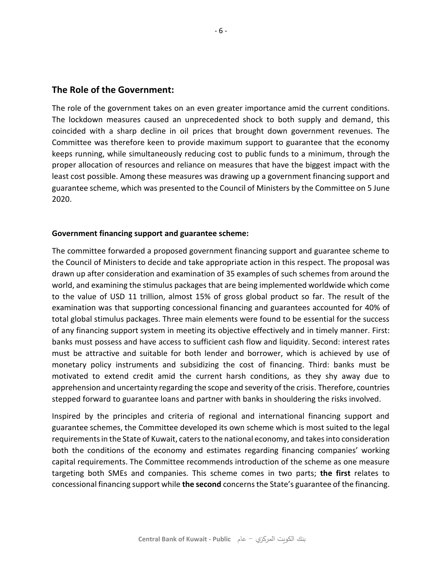#### **The Role of the Government:**

The role of the government takes on an even greater importance amid the current conditions. The lockdown measures caused an unprecedented shock to both supply and demand, this coincided with a sharp decline in oil prices that brought down government revenues. The Committee was therefore keen to provide maximum support to guarantee that the economy keeps running, while simultaneously reducing cost to public funds to a minimum, through the proper allocation of resources and reliance on measures that have the biggest impact with the least cost possible. Among these measures was drawing up a government financing support and guarantee scheme, which was presented to the Council of Ministers by the Committee on 5 June 2020.

#### **Government financing support and guarantee scheme:**

The committee forwarded a proposed government financing support and guarantee scheme to the Council of Ministers to decide and take appropriate action in this respect. The proposal was drawn up after consideration and examination of 35 examples of such schemes from around the world, and examining the stimulus packages that are being implemented worldwide which come to the value of USD 11 trillion, almost 15% of gross global product so far. The result of the examination was that supporting concessional financing and guarantees accounted for 40% of total global stimulus packages. Three main elements were found to be essential for the success of any financing support system in meeting its objective effectively and in timely manner. First: banks must possess and have access to sufficient cash flow and liquidity. Second: interest rates must be attractive and suitable for both lender and borrower, which is achieved by use of monetary policy instruments and subsidizing the cost of financing. Third: banks must be motivated to extend credit amid the current harsh conditions, as they shy away due to apprehension and uncertainty regarding the scope and severity of the crisis. Therefore, countries stepped forward to guarantee loans and partner with banks in shouldering the risks involved.

Inspired by the principles and criteria of regional and international financing support and guarantee schemes, the Committee developed its own scheme which is most suited to the legal requirements in the State of Kuwait, caters to the national economy, and takes into consideration both the conditions of the economy and estimates regarding financing companies' working capital requirements. The Committee recommends introduction of the scheme as one measure targeting both SMEs and companies. This scheme comes in two parts; **the first** relates to concessional financing support while **the second** concerns the State's guarantee of the financing.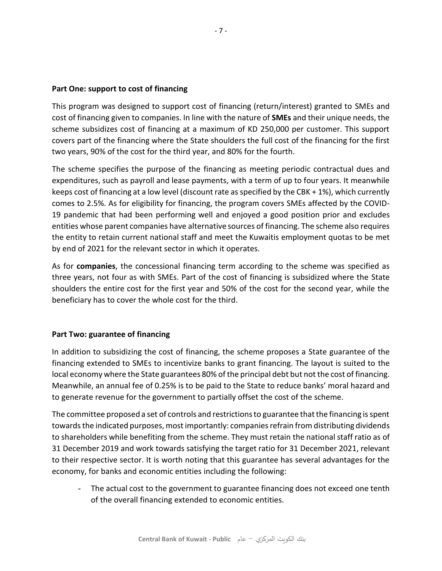#### **Part One: support to cost of financing**

This program was designed to support cost of financing (return/interest) granted to SMEs and cost of financing given to companies. In line with the nature of **SMEs** and their unique needs, the scheme subsidizes cost of financing at a maximum of KD 250,000 per customer. This support covers part of the financing where the State shoulders the full cost of the financing for the first two years, 90% of the cost for the third year, and 80% for the fourth.

The scheme specifies the purpose of the financing as meeting periodic contractual dues and expenditures, such as payroll and lease payments, with a term of up to four years. It meanwhile keeps cost of financing at a low level (discount rate as specified by the CBK + 1%), which currently comes to 2.5%. As for eligibility for financing, the program covers SMEs affected by the COVID-19 pandemic that had been performing well and enjoyed a good position prior and excludes entities whose parent companies have alternative sources of financing. The scheme also requires the entity to retain current national staff and meet the Kuwaitis employment quotas to be met by end of 2021 for the relevant sector in which it operates.

As for **companies**, the concessional financing term according to the scheme was specified as three years, not four as with SMEs. Part of the cost of financing is subsidized where the State shoulders the entire cost for the first year and 50% of the cost for the second year, while the beneficiary has to cover the whole cost for the third.

#### **Part Two: guarantee of financing**

In addition to subsidizing the cost of financing, the scheme proposes a State guarantee of the financing extended to SMEs to incentivize banks to grant financing. The layout is suited to the local economy where the State guarantees 80% of the principal debt but not the cost of financing. Meanwhile, an annual fee of 0.25% is to be paid to the State to reduce banks' moral hazard and to generate revenue for the government to partially offset the cost of the scheme.

The committee proposed a set of controls and restrictions to guarantee that the financing is spent towards the indicated purposes, most importantly: companies refrain from distributing dividends to shareholders while benefiting from the scheme. They must retain the national staff ratio as of 31 December 2019 and work towards satisfying the target ratio for 31 December 2021, relevant to their respective sector. It is worth noting that this guarantee has several advantages for the economy, for banks and economic entities including the following:

- The actual cost to the government to guarantee financing does not exceed one tenth of the overall financing extended to economic entities.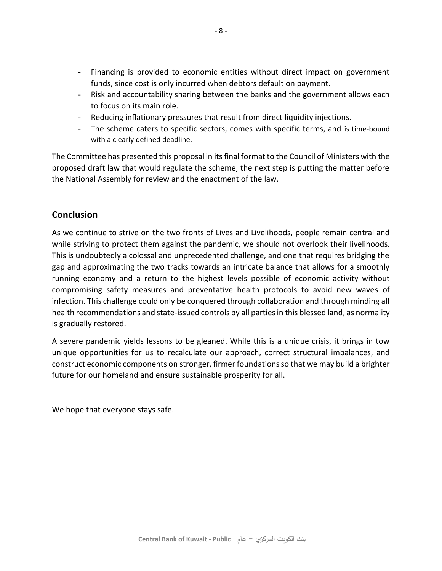- Financing is provided to economic entities without direct impact on government funds, since cost is only incurred when debtors default on payment.
- Risk and accountability sharing between the banks and the government allows each to focus on its main role.
- Reducing inflationary pressures that result from direct liquidity injections.
- The scheme caters to specific sectors, comes with specific terms, and is time-bound with a clearly defined deadline.

The Committee has presented this proposal in its final format to the Council of Ministers with the proposed draft law that would regulate the scheme, the next step is putting the matter before the National Assembly for review and the enactment of the law.

# **Conclusion**

As we continue to strive on the two fronts of Lives and Livelihoods, people remain central and while striving to protect them against the pandemic, we should not overlook their livelihoods. This is undoubtedly a colossal and unprecedented challenge, and one that requires bridging the gap and approximating the two tracks towards an intricate balance that allows for a smoothly running economy and a return to the highest levels possible of economic activity without compromising safety measures and preventative health protocols to avoid new waves of infection. This challenge could only be conquered through collaboration and through minding all health recommendations and state-issued controls by all parties in this blessed land, as normality is gradually restored.

A severe pandemic yields lessons to be gleaned. While this is a unique crisis, it brings in tow unique opportunities for us to recalculate our approach, correct structural imbalances, and construct economic components on stronger, firmer foundations so that we may build a brighter future for our homeland and ensure sustainable prosperity for all.

We hope that everyone stays safe.